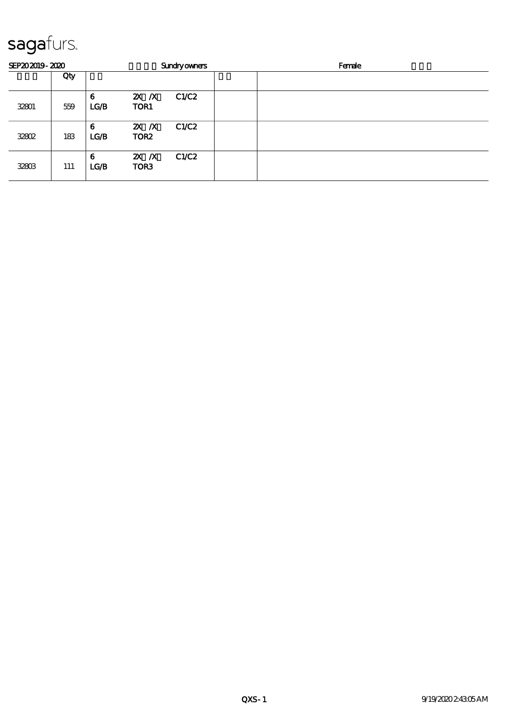## sagafurs.

| SEP202019-2020 |     |           | <b>Sundryowners</b>         |       | Female |  |
|----------------|-----|-----------|-----------------------------|-------|--------|--|
|                | Qty |           |                             |       |        |  |
| 32801          | 559 | 6<br>LG/B | $X$ $X$<br>TOR1             | C1/C2 |        |  |
| 32802          | 183 | 6<br>LG/B | $X$ $N$<br>TOR <sub>2</sub> | C1/C2 |        |  |
| 32803          | 111 | 6<br>LG/B | $X$ $N$<br>TOR <sub>3</sub> | C1/C2 |        |  |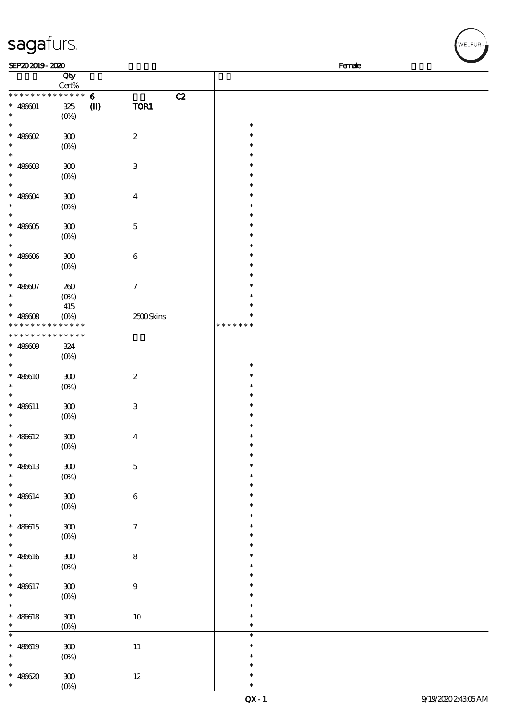| sagafurs.                                     |                               |                      |                                   |        | WELFUR <sub>™</sub> |  |
|-----------------------------------------------|-------------------------------|----------------------|-----------------------------------|--------|---------------------|--|
| SEP202019-2020                                |                               |                      |                                   | Female |                     |  |
|                                               | Qty<br>Cert%                  |                      |                                   |        |                     |  |
| * * * * * * * *                               | * * * * * *                   | $\mathbf 6$<br>C2    |                                   |        |                     |  |
| $* 486001$<br>$\ast$<br>$\ast$                | $325\,$<br>$(0\%)$            | TOR1<br>$\mathbf{I}$ |                                   |        |                     |  |
| $* 48602$<br>$\ast$                           | $300\,$<br>$(0\%)$            | $\boldsymbol{2}$     | $\ast$<br>$\ast$<br>$\ast$        |        |                     |  |
| $\ast$<br>$\hspace{0.1cm}^*$ 486603<br>$\ast$ | 300<br>$(0\%)$                | $\,3$                | $\ast$<br>$\ast$<br>$\ast$        |        |                     |  |
| $\ast$<br>$* 486004$<br>$\ast$                | ${\bf 30}$<br>$(0\%)$         | $\boldsymbol{4}$     | $\ast$<br>$\ast$<br>$\ast$        |        |                     |  |
| $\ast$<br>$* 48605$<br>$\ast$                 | ${\bf 30}$<br>$(0\%)$         | $\mathbf 5$          | $\ast$<br>$\ast$<br>$\ast$        |        |                     |  |
| $\ast$<br>$* 48600$<br>$\ast$                 | $300\,$<br>$(0\%)$            | $\bf 6$              | $\ast$<br>$\ast$<br>$\ast$        |        |                     |  |
| $\ast$<br>$* 486007$<br>$\ast$                | 260<br>(0%)                   | $\tau$               | $\ast$<br>$\ast$<br>$\ast$        |        |                     |  |
| $\ast$<br>$* 486608$<br>* * *<br>* * * *      | 415<br>$(0\%)$<br>* * * * * * | 2500Skins            | $\ast$<br>$\ast$<br>* * * * * * * |        |                     |  |
| * * * * * * * *                               | * * * * * *                   |                      |                                   |        |                     |  |
| $* 48600$<br>$\ast$<br>$\ast$                 | 324<br>$(0\%)$                |                      | $\ast$                            |        |                     |  |
| $* 486610$<br>$\ast$                          | 300<br>$(0\%)$                | $\boldsymbol{2}$     | $\ast$<br>$\ast$                  |        |                     |  |
| $\ast$<br>$* 486611$<br>$\ast$                | 300<br>$(0\%)$                | $\,3$                | $\ast$<br>$\ast$<br>$\ast$        |        |                     |  |
| $\ast$<br>$* 486612$<br>$\ast$                | ${\bf 300}$<br>$(0\%)$        | $\boldsymbol{4}$     | $\ast$<br>$\ast$<br>$\ast$        |        |                     |  |
| $\ast$<br>$* 486613$<br>$\ast$                | ${\bf 300}$<br>$(0\%)$        | $\bf 5$              | $\ast$<br>$\ast$<br>$\ast$        |        |                     |  |
| $\ast$<br>$* 486614$<br>$\ast$                | $300\,$<br>(0%)               | $\bf 6$              | $\ast$<br>$\ast$<br>$\ast$        |        |                     |  |
| $\ast$<br>$* 486615$<br>$\ast$                | 300<br>$(0\%)$                | $\boldsymbol{7}$     | $\ast$<br>$\ast$<br>$\ast$        |        |                     |  |
| $\ast$<br>$* 486616$<br>$\ast$                | ${\bf 300}$<br>$(0\%)$        | $\bf 8$              | $\ast$<br>$\ast$<br>$\ast$        |        |                     |  |
| $\ast$<br>$* 486617$<br>$\ast$                | $300\,$<br>$(0\%)$            | $\boldsymbol{9}$     | $\ast$<br>$\ast$<br>$\ast$        |        |                     |  |
| $\ast$<br>$* 486618$<br>$\ast$                | $300\,$<br>$(0\%)$            | $10\,$               | $\ast$<br>$\ast$<br>$\ast$        |        |                     |  |
| $\overline{\ast}$<br>$* 486619$<br>$\ast$     | ${\bf 300}$<br>$(0\%)$        | $11\,$               | $\ast$<br>$\ast$<br>$\ast$        |        |                     |  |
| $\ast$<br>$* 486620$<br>$\ast$                | $300\,$<br>$(O\%)$            | $12\,$               | $\ast$<br>$\ast$<br>$\ast$        |        |                     |  |

(0%)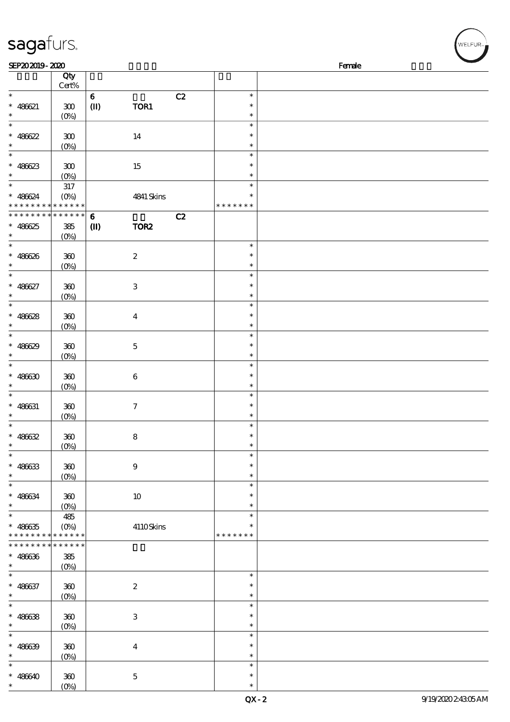| sagafurs.                                |                           |                                 |                         |                  |        | WELFUR <sub>™I</sub> |
|------------------------------------------|---------------------------|---------------------------------|-------------------------|------------------|--------|----------------------|
| SEP202019-2020                           |                           |                                 |                         |                  | Female |                      |
|                                          | Qty                       |                                 |                         |                  |        |                      |
|                                          | Cert%                     |                                 |                         |                  |        |                      |
| $\ast$                                   |                           | $\bf{6}$                        | C2                      | $\ast$           |        |                      |
| $* 486621$                               | 300                       | $\textcircled{\scriptsize{II}}$ | TOR1                    | $\ast$           |        |                      |
| $\ast$                                   | $(O\%)$                   |                                 |                         | $\ast$           |        |                      |
| $\ast$                                   |                           |                                 |                         | $\ast$           |        |                      |
| $* 486622$                               | ${\bf 30}$                |                                 | 14                      | $\ast$           |        |                      |
| $\ast$                                   | $(0\%)$                   |                                 |                         | $\ast$           |        |                      |
| $\ast$                                   |                           |                                 |                         | $\ast$           |        |                      |
| $* 486623$<br>$\ast$                     | 300                       |                                 | 15                      | $\ast$<br>$\ast$ |        |                      |
| $\ast$                                   | $(O\%)$<br>$317\,$        |                                 |                         | $\ast$           |        |                      |
| $* 486624$                               | $(O\%)$                   |                                 | 4841 Skins              | $\ast$           |        |                      |
|                                          | * * * * * * * * * *       |                                 |                         | * * * * * * *    |        |                      |
| * * * * *                                | * * * * * *               | $\bf{6}$                        | C2                      |                  |        |                      |
| $* 48625$                                | $385\,$                   | $\mathbf{I}$                    | TOR <sub>2</sub>        |                  |        |                      |
|                                          | (0%)                      |                                 |                         |                  |        |                      |
| $\ast$                                   |                           |                                 |                         | $\ast$           |        |                      |
| $* 486626$                               | 360                       |                                 | $\boldsymbol{2}$        | $\ast$           |        |                      |
| $\ast$                                   | (0%)                      |                                 |                         | $\ast$           |        |                      |
| $\ast$                                   |                           |                                 |                         | $\ast$           |        |                      |
| $* 486627$                               | 360                       |                                 | $\,3$                   | $\ast$           |        |                      |
| $\ast$                                   | $(O\%)$                   |                                 |                         | $\ast$           |        |                      |
| $\ast$                                   |                           |                                 |                         | $\ast$           |        |                      |
| $* 486628$                               | $300\,$                   |                                 | $\overline{\mathbf{4}}$ | $\ast$           |        |                      |
| $\ast$                                   | $(0\%)$                   |                                 |                         | $\ast$           |        |                      |
| $\ast$                                   |                           |                                 |                         | $\ast$           |        |                      |
| $* 486629$                               | 360                       |                                 | $\mathbf 5$             | $\ast$           |        |                      |
| $\ast$                                   | $(0\%)$                   |                                 |                         | $\ast$           |        |                      |
| $\ast$                                   |                           |                                 |                         | $\ast$           |        |                      |
| $* 48630$                                | 360                       |                                 | $\bf 6$                 | $\ast$           |        |                      |
| $\ast$                                   | $(O\%)$                   |                                 |                         | $\ast$<br>$\ast$ |        |                      |
|                                          |                           |                                 |                         | $\ast$           |        |                      |
| $* 486631$                               | 300<br>(0%)               |                                 | $\boldsymbol{7}$        | $\ast$           |        |                      |
| $\ast$                                   |                           |                                 |                         | $\ast$           |        |                      |
| $* 486632$                               | 300                       |                                 | ${\bf 8}$               | $\ast$           |        |                      |
| $\ast$                                   | $(0\%)$                   |                                 |                         | $\ast$           |        |                      |
| $\ast$                                   |                           |                                 |                         | $\ast$           |        |                      |
| $* 486633$                               | 300                       |                                 | $\boldsymbol{9}$        | $\ast$           |        |                      |
| $\ast$                                   | $(0\%)$                   |                                 |                         | $\ast$           |        |                      |
| $\ast$                                   |                           |                                 |                         | $\ast$           |        |                      |
| $* 486634$                               | 360                       |                                 | $10\,$                  | ∗                |        |                      |
| $\ast$                                   | $(0\%)$                   |                                 |                         | $\ast$           |        |                      |
| $\ast$                                   | 485                       |                                 |                         | $\ast$           |        |                      |
| $* 486635$                               | $(O\!\!\!\!\!\!\!/\,\!o)$ |                                 | 4110Skins               | $\ast$           |        |                      |
| * * * * * * * * <mark>* * * * * *</mark> |                           |                                 |                         | * * * * * * *    |        |                      |
| * * * * * * * *                          | * * * * * *               |                                 |                         |                  |        |                      |
| $* 486636$                               | 385                       |                                 |                         |                  |        |                      |
| $\ast$<br>$\ast$                         | $(0\%)$                   |                                 |                         | $\ast$           |        |                      |
|                                          |                           |                                 |                         | $\ast$           |        |                      |
| $* 486637$<br>$\ast$                     | 360                       |                                 | $\boldsymbol{2}$        | $\ast$           |        |                      |
| $\ast$                                   | $(O\%)$                   |                                 |                         | $\ast$           |        |                      |
| $* 486638$                               | 300                       |                                 | $\,3$                   | $\ast$           |        |                      |
| $\ast$                                   | $(0\%)$                   |                                 |                         | $\ast$           |        |                      |
| $\ast$                                   |                           |                                 |                         | $\ast$           |        |                      |
| $* 486639$                               | 300                       |                                 | $\bf{4}$                | $\ast$           |        |                      |
| $\ast$                                   | $(0\%)$                   |                                 |                         | $\ast$           |        |                      |
| $\ast$                                   |                           |                                 |                         | $\ast$           |        |                      |
| $* 486640$                               | 300                       |                                 | $\mathbf 5$             | $\ast$           |        |                      |
| $*$                                      | $(O\%)$                   |                                 |                         | $\ast$           |        |                      |

 $(\sqrt{\text{WELFUR}_{\text{max}}})$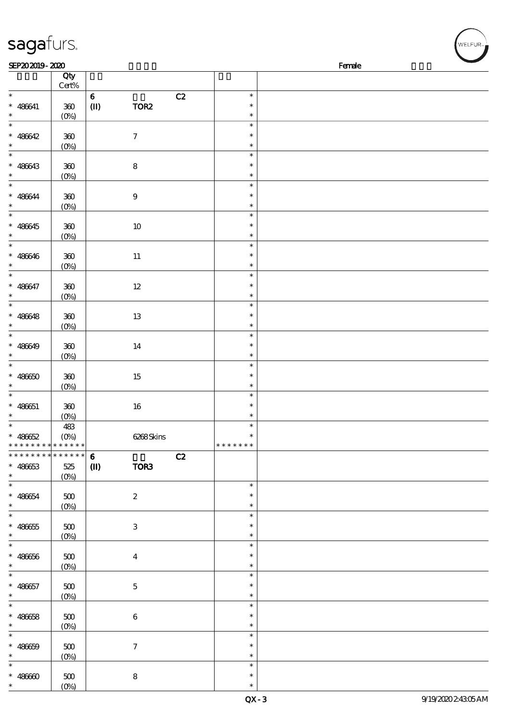| sagafurs.                                  |                    |                                |                  |                  |        | WELFUR <sub>"</sub> |
|--------------------------------------------|--------------------|--------------------------------|------------------|------------------|--------|---------------------|
| SEP202019-2020                             |                    |                                |                  |                  | Female |                     |
|                                            | Qty<br>Cert%       |                                |                  |                  |        |                     |
| $\ast$                                     |                    | $\bf 6$                        | C2               | $\ast$           |        |                     |
| $* 486641$                                 | $360\,$            | $\textcircled{\scriptsize{I}}$ | TOR <sub>2</sub> | $\ast$           |        |                     |
| $\ast$                                     | $(0\%)$            |                                |                  | $\ast$           |        |                     |
| $\ast$                                     |                    |                                |                  | $\ast$           |        |                     |
| $* 486642$<br>$\ast$                       | $300\,$            |                                | $\boldsymbol{7}$ | $\ast$<br>$\ast$ |        |                     |
| $\ast$                                     | $(0\%)$            |                                |                  | $\ast$           |        |                     |
| $* 486643$                                 | $300\,$            |                                | $\bf 8$          | $\ast$           |        |                     |
| $\ast$                                     | (0%)               |                                |                  | $\ast$           |        |                     |
| $\ast$                                     |                    |                                |                  | $\ast$           |        |                     |
| $* 486644$<br>$\ast$                       | $300\,$            |                                | $\boldsymbol{9}$ | $\ast$           |        |                     |
| $\ast$                                     | $(0\%)$            |                                |                  | $\ast$<br>$\ast$ |        |                     |
| $* 486645$                                 | $300\,$            |                                | $10$             | $\ast$           |        |                     |
| $\ast$                                     | $(0\%)$            |                                |                  | $\ast$           |        |                     |
| $\ast$                                     |                    |                                |                  | $\ast$           |        |                     |
| $* 486646$                                 | $300\,$            |                                | $11\,$           | $\ast$           |        |                     |
| $\ast$<br>$\ast$                           | $(0\%)$            |                                |                  | $\ast$<br>$\ast$ |        |                     |
| $* 486647$                                 | $300\,$            |                                | $12\,$           | $\ast$           |        |                     |
| $\ast$                                     | $(0\%)$            |                                |                  | $\ast$           |        |                     |
| $\ast$                                     |                    |                                |                  | $\ast$           |        |                     |
| $* 486648$                                 | $300\,$            |                                | 13               | $\ast$           |        |                     |
| $\ast$                                     | $(0\%)$            |                                |                  | $\ast$           |        |                     |
| $\ast$                                     |                    |                                |                  | $\ast$           |        |                     |
| $* 486649$<br>$\ast$                       | $300\,$<br>$(0\%)$ |                                | $14\,$           | $\ast$<br>$\ast$ |        |                     |
| $\ast$                                     |                    |                                |                  | $\ast$           |        |                     |
| $* 48660$                                  | $300\,$            |                                | 15               | $\ast$           |        |                     |
| $\ast$                                     | $(0\%)$            |                                |                  | $\ast$           |        |                     |
| $\ast$                                     |                    |                                |                  | $\ast$           |        |                     |
| $* 486651$<br>$\ast$                       | 300                |                                | 16               | $\ast$<br>$\ast$ |        |                     |
| $\ast$                                     | (0%)<br>483        |                                |                  | $\ast$           |        |                     |
| $* 486652$                                 | $(O\%)$            |                                | 6268Skins        |                  |        |                     |
| * * * * * * * * * * * * * *                |                    |                                |                  | * * * * * * *    |        |                     |
| * * * * * * * * <mark>* * * * * * *</mark> |                    | $\bf{6}$                       | C2               |                  |        |                     |
| $* 48663$                                  | 525                | $\mathbf{I}$                   | TOR3             |                  |        |                     |
| $\ast$<br>$\ast$                           | $(0\%)$            |                                |                  | $\ast$           |        |                     |
| $* 486654$                                 | 500                |                                | $\boldsymbol{z}$ | $\ast$           |        |                     |
| $\ast$                                     | $(0\%)$            |                                |                  | $\ast$           |        |                     |
| $\ast$                                     |                    |                                |                  | $\ast$           |        |                     |
| $* 486655$                                 | 500                |                                | $\,3$            | $\ast$           |        |                     |
| $\ast$<br>$\ast$                           | $(0\%)$            |                                |                  | $\ast$<br>$\ast$ |        |                     |
| $* 486666$                                 | 500                |                                |                  | $\ast$           |        |                     |
| $\ast$                                     | $(0\%)$            |                                | $\boldsymbol{4}$ | $\ast$           |        |                     |
| $\ast$                                     |                    |                                |                  | $\ast$           |        |                     |
| $* 486657$                                 | 500                |                                | $\mathbf 5$      | $\ast$           |        |                     |
| $\ast$                                     | $(0\%)$            |                                |                  | $\ast$           |        |                     |
| $\ast$                                     |                    |                                |                  | $\ast$<br>$\ast$ |        |                     |
| $* 486658$<br>$\ast$                       | 500<br>$(0\%)$     |                                | $\,6\,$          | $\ast$           |        |                     |
| $\overline{\phantom{a}^*}$                 |                    |                                |                  | $\ast$           |        |                     |
| $* 486659$                                 | 500                |                                | $\boldsymbol{7}$ | $\ast$           |        |                     |
| $\ast$                                     | $(0\%)$            |                                |                  | $\ast$           |        |                     |
| $\ast$                                     |                    |                                |                  | $\ast$           |        |                     |
| $* 48660$<br>$\ast$                        | 500                |                                | 8                | $\ast$           |        |                     |
|                                            | $(O\%)$            |                                |                  | $\ast$           |        |                     |